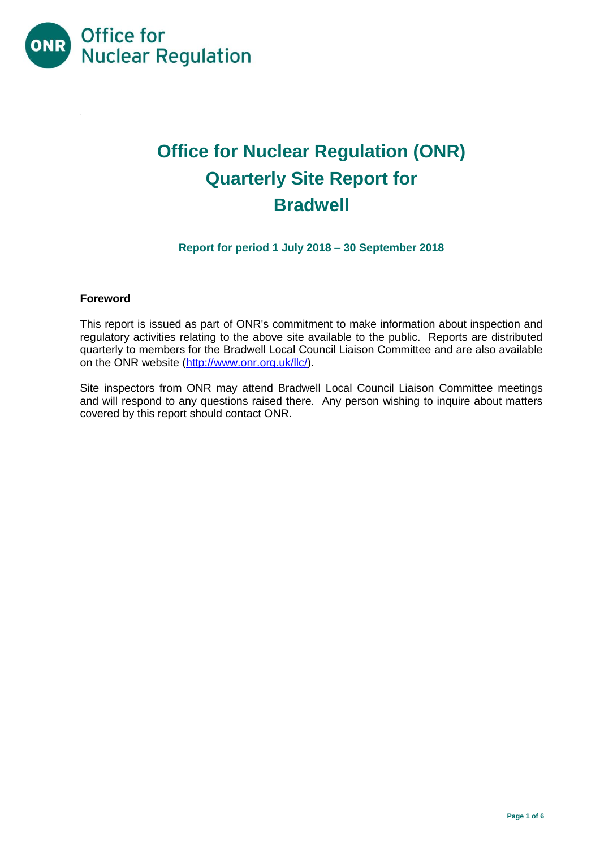

# **Office for Nuclear Regulation (ONR) Quarterly Site Report for Bradwell**

**Report for period 1 July 2018 – 30 September 2018**

### **Foreword**

This report is issued as part of ONR's commitment to make information about inspection and regulatory activities relating to the above site available to the public. Reports are distributed quarterly to members for the Bradwell Local Council Liaison Committee and are also available on the ONR website [\(http://www.onr.org.uk/llc/\)](http://www.onr.org.uk/llc/).

Site inspectors from ONR may attend Bradwell Local Council Liaison Committee meetings and will respond to any questions raised there. Any person wishing to inquire about matters covered by this report should contact ONR.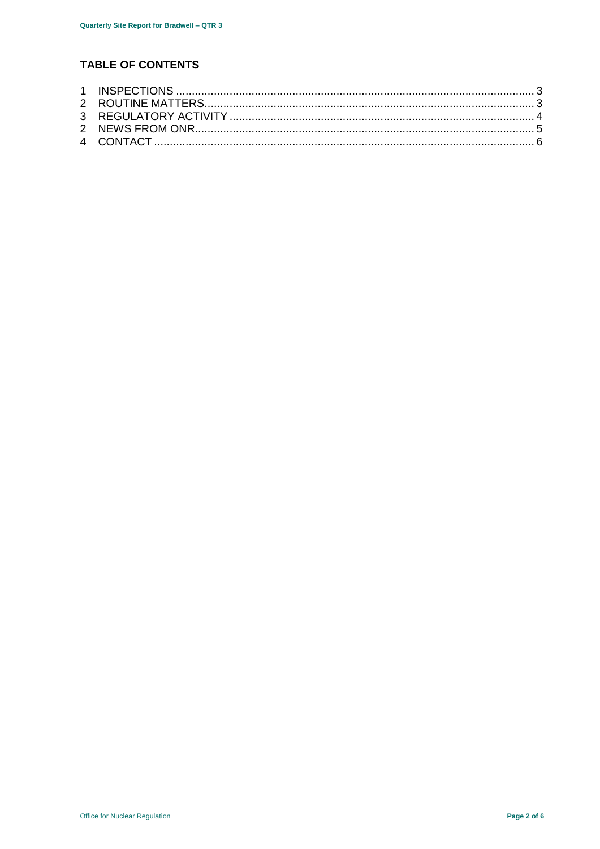# **TABLE OF CONTENTS**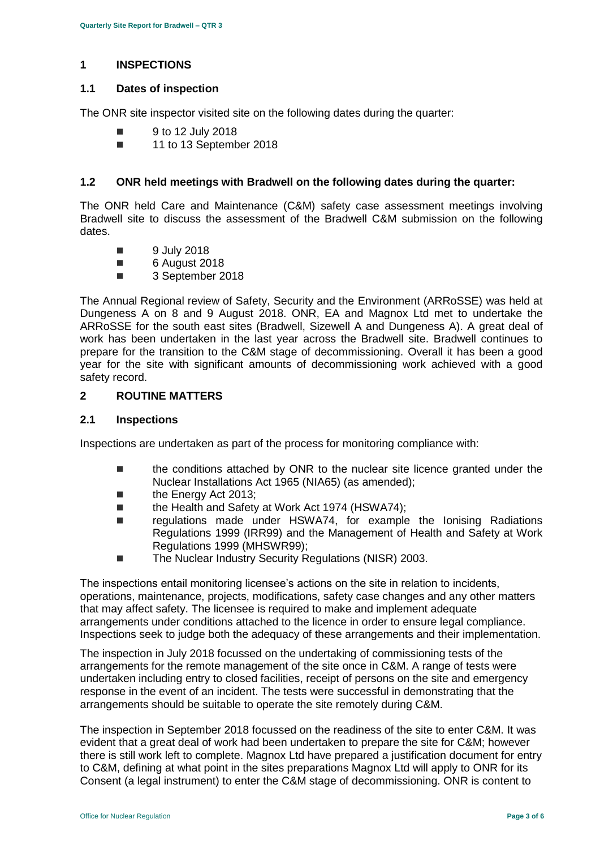#### <span id="page-2-0"></span>**1 INSPECTIONS**

#### **1.1 Dates of inspection**

The ONR site inspector visited site on the following dates during the quarter:

- 9 to 12 July 2018
- 11 to 13 September 2018

### **1.2 ONR held meetings with Bradwell on the following dates during the quarter:**

The ONR held Care and Maintenance (C&M) safety case assessment meetings involving Bradwell site to discuss the assessment of the Bradwell C&M submission on the following dates.

- **9 July 2018**
- 6 August 2018
- 3 September 2018

The Annual Regional review of Safety, Security and the Environment (ARRoSSE) was held at Dungeness A on 8 and 9 August 2018. ONR, EA and Magnox Ltd met to undertake the ARRoSSE for the south east sites (Bradwell, Sizewell A and Dungeness A). A great deal of work has been undertaken in the last year across the Bradwell site. Bradwell continues to prepare for the transition to the C&M stage of decommissioning. Overall it has been a good year for the site with significant amounts of decommissioning work achieved with a good safety record.

### <span id="page-2-1"></span>**2 ROUTINE MATTERS**

#### **2.1 Inspections**

Inspections are undertaken as part of the process for monitoring compliance with:

- the conditions attached by ONR to the nuclear site licence granted under the Nuclear Installations Act 1965 (NIA65) (as amended);
- **the Energy Act 2013:**
- the Health and Safety at Work Act 1974 (HSWA74);
- regulations made under HSWA74, for example the Ionising Radiations Regulations 1999 (IRR99) and the Management of Health and Safety at Work Regulations 1999 (MHSWR99);
- The Nuclear Industry Security Regulations (NISR) 2003.

The inspections entail monitoring licensee's actions on the site in relation to incidents, operations, maintenance, projects, modifications, safety case changes and any other matters that may affect safety. The licensee is required to make and implement adequate arrangements under conditions attached to the licence in order to ensure legal compliance. Inspections seek to judge both the adequacy of these arrangements and their implementation.

The inspection in July 2018 focussed on the undertaking of commissioning tests of the arrangements for the remote management of the site once in C&M. A range of tests were undertaken including entry to closed facilities, receipt of persons on the site and emergency response in the event of an incident. The tests were successful in demonstrating that the arrangements should be suitable to operate the site remotely during C&M.

The inspection in September 2018 focussed on the readiness of the site to enter C&M. It was evident that a great deal of work had been undertaken to prepare the site for C&M; however there is still work left to complete. Magnox Ltd have prepared a justification document for entry to C&M, defining at what point in the sites preparations Magnox Ltd will apply to ONR for its Consent (a legal instrument) to enter the C&M stage of decommissioning. ONR is content to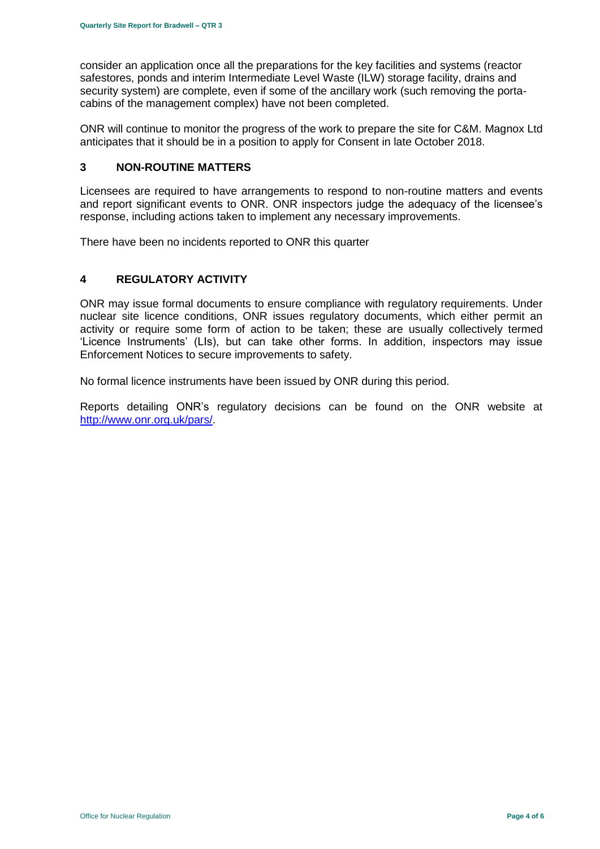consider an application once all the preparations for the key facilities and systems (reactor safestores, ponds and interim Intermediate Level Waste (ILW) storage facility, drains and security system) are complete, even if some of the ancillary work (such removing the portacabins of the management complex) have not been completed.

ONR will continue to monitor the progress of the work to prepare the site for C&M. Magnox Ltd anticipates that it should be in a position to apply for Consent in late October 2018.

#### **3 NON-ROUTINE MATTERS**

Licensees are required to have arrangements to respond to non-routine matters and events and report significant events to ONR. ONR inspectors judge the adequacy of the licensee's response, including actions taken to implement any necessary improvements.

There have been no incidents reported to ONR this quarter

# <span id="page-3-0"></span>**4 REGULATORY ACTIVITY**

ONR may issue formal documents to ensure compliance with regulatory requirements. Under nuclear site licence conditions, ONR issues regulatory documents, which either permit an activity or require some form of action to be taken; these are usually collectively termed 'Licence Instruments' (LIs), but can take other forms. In addition, inspectors may issue Enforcement Notices to secure improvements to safety.

No formal licence instruments have been issued by ONR during this period.

Reports detailing ONR's regulatory decisions can be found on the ONR website at [http://www.onr.org.uk/pars/.](http://www.onr.org.uk/pars/)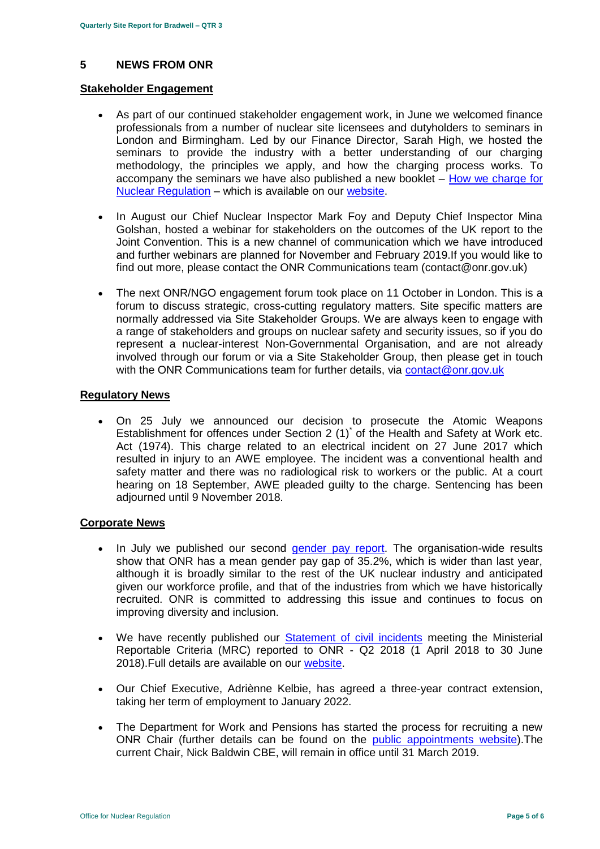# <span id="page-4-0"></span>**5 NEWS FROM ONR**

#### **Stakeholder Engagement**

- As part of our continued stakeholder engagement work, in June we welcomed finance professionals from a number of nuclear site licensees and dutyholders to seminars in London and Birmingham. Led by our Finance Director, Sarah High, we hosted the seminars to provide the industry with a better understanding of our charging methodology, the principles we apply, and how the charging process works. To accompany the seminars we have also published a new booklet – [How we charge for](http://www.onr.org.uk/documents/2018/how-we-charge-for-nuclear-regulation.pdf)  [Nuclear Regulation](http://www.onr.org.uk/documents/2018/how-we-charge-for-nuclear-regulation.pdf) – which is available on our [website.](http://www.onr.org.uk/documents/2018/how-we-charge-for-nuclear-regulation.pdf)
- In August our Chief Nuclear Inspector Mark Foy and Deputy Chief Inspector Mina Golshan, hosted a webinar for stakeholders on the outcomes of the UK report to the Joint Convention. This is a new channel of communication which we have introduced and further webinars are planned for November and February 2019.If you would like to find out more, please contact the ONR Communications team (contact@onr.gov.uk)
- The next ONR/NGO engagement forum took place on 11 October in London. This is a forum to discuss strategic, cross-cutting regulatory matters. Site specific matters are normally addressed via Site Stakeholder Groups. We are always keen to engage with a range of stakeholders and groups on nuclear safety and security issues, so if you do represent a nuclear-interest Non-Governmental Organisation, and are not already involved through our forum or via a Site Stakeholder Group, then please get in touch with the ONR Communications team for further details, via [contact@onr.gov.uk](mailto:contact@onr.gov.uk)

#### **Regulatory News**

 On 25 July we announced our decision to prosecute the Atomic Weapons Establishment for offences under Section 2 (1)<sup>\*</sup> of the Health and Safety at Work etc. Act (1974). This charge related to an electrical incident on 27 June 2017 which resulted in injury to an AWE employee. The incident was a conventional health and safety matter and there was no radiological risk to workers or the public. At a court hearing on 18 September, AWE pleaded guilty to the charge. Sentencing has been adjourned until 9 November 2018.

#### **Corporate News**

- In July we published our second [gender pay report.](http://news.onr.org.uk/2018/07/onr-publishes-second-gender-pay-report/) The organisation-wide results show that ONR has a mean gender pay gap of 35.2%, which is wider than last year, although it is broadly similar to the rest of the UK nuclear industry and anticipated given our workforce profile, and that of the industries from which we have historically recruited. ONR is committed to addressing this issue and continues to focus on improving diversity and inclusion.
- We have recently published our [Statement of civil incidents](http://www.onr.org.uk/quarterly-stat/2018-2.htm) meeting the Ministerial Reportable Criteria (MRC) reported to ONR - Q2 2018 (1 April 2018 to 30 June 2018).Full details are available on our [website.](http://www.onr.org.uk/quarterly-stat/2018-2.htm)
- Our Chief Executive, Adriènne Kelbie, has agreed a three-year contract extension, taking her term of employment to January 2022.
- The Department for Work and Pensions has started the process for recruiting a new ONR Chair (further details can be found on the [public appointments website\)](https://publicappointments.cabinetoffice.gov.uk/appointment/chair-the-office-for-nuclear-regulations/).The current Chair, Nick Baldwin CBE, will remain in office until 31 March 2019.